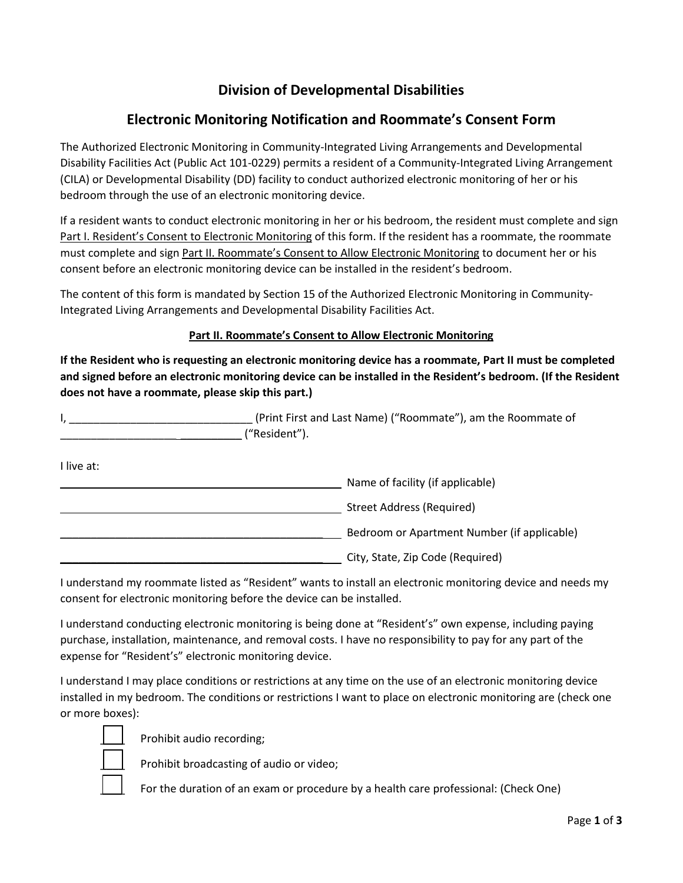## **Division of Developmental Disabilities**

## **Electronic Monitoring Notification and Roommate's Consent Form**

The Authorized Electronic Monitoring in Community-Integrated Living Arrangements and Developmental Disability Facilities Act (Public Act 101-0229) permits a resident of a Community-Integrated Living Arrangement (CILA) or Developmental Disability (DD) facility to conduct authorized electronic monitoring of her or his bedroom through the use of an electronic monitoring device.

If a resident wants to conduct electronic monitoring in her or his bedroom, the resident must complete and sign Part I. Resident's Consent to Electronic Monitoring of this form. If the resident has a roommate, the roommate must complete and sign Part II. Roommate's Consent to Allow Electronic Monitoring to document her or his consent before an electronic monitoring device can be installed in the resident's bedroom.

The content of this form is mandated by Section 15 of the Authorized Electronic Monitoring in Community-Integrated Living Arrangements and Developmental Disability Facilities Act.

## **Part II. Roommate's Consent to Allow Electronic Monitoring**

**If the Resident who is requesting an electronic monitoring device has a roommate, Part II must be completed and signed before an electronic monitoring device can be installed in the Resident's bedroom. (If the Resident does not have a roommate, please skip this part.)** 

| (Print First and Last Name) ("Roommate"), am the Roommate of |
|--------------------------------------------------------------|
| "Resident").                                                 |

I live at:

| Name of facility (if applicable)                                                                                                                 |
|--------------------------------------------------------------------------------------------------------------------------------------------------|
| Street Address (Required)                                                                                                                        |
| Bedroom or Apartment Number (if applicable)                                                                                                      |
| $C_{\rm th}$ $C_{\rm t}$ $C_{\rm t}$ $D_{\rm t}$ $D_{\rm t}$ $D_{\rm t}$ $D_{\rm t}$ $D_{\rm t}$ $D_{\rm t}$ $D_{\rm t}$ $D_{\rm t}$ $D_{\rm t}$ |

\_\_\_\_\_\_\_\_\_\_\_\_\_\_\_\_\_\_\_\_\_\_\_\_\_\_\_\_\_\_\_\_\_\_\_\_\_\_\_\_\_\_\_ City, State, Zip Code (Required)

I understand my roommate listed as "Resident" wants to install an electronic monitoring device and needs my consent for electronic monitoring before the device can be installed.

I understand conducting electronic monitoring is being done at "Resident's" own expense, including paying purchase, installation, maintenance, and removal costs. I have no responsibility to pay for any part of the expense for "Resident's" electronic monitoring device.

I understand I may place conditions or restrictions at any time on the use of an electronic monitoring device installed in my bedroom. The conditions or restrictions I want to place on electronic monitoring are (check one or more boxes):



Prohibit audio recording;

Prohibit broadcasting of audio or video;

For the duration of an exam or procedure by a health care professional: (Check One)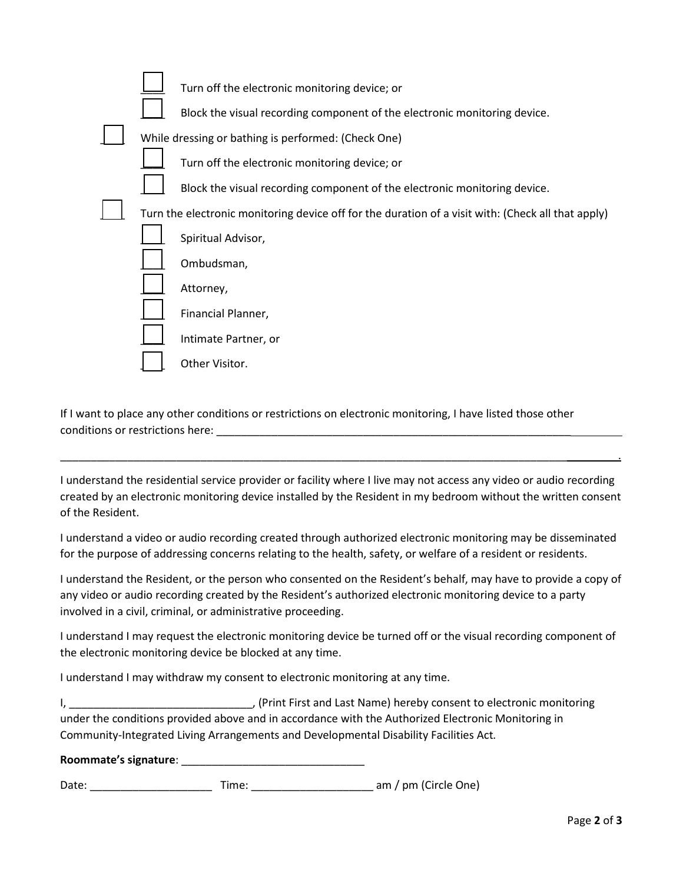|  | Turn off the electronic monitoring device; or<br>Block the visual recording component of the electronic monitoring device. |  |
|--|----------------------------------------------------------------------------------------------------------------------------|--|
|  | While dressing or bathing is performed: (Check One)                                                                        |  |
|  | Turn off the electronic monitoring device; or                                                                              |  |
|  | Block the visual recording component of the electronic monitoring device.                                                  |  |
|  | Turn the electronic monitoring device off for the duration of a visit with: (Check all that apply)                         |  |
|  | Spiritual Advisor,                                                                                                         |  |
|  | Ombudsman,                                                                                                                 |  |
|  | Attorney,                                                                                                                  |  |
|  | Financial Planner,                                                                                                         |  |
|  | Intimate Partner, or                                                                                                       |  |
|  | Other Visitor.                                                                                                             |  |

If I want to place any other conditions or restrictions on electronic monitoring, I have listed those other conditions or restrictions here:

I understand the residential service provider or facility where I live may not access any video or audio recording created by an electronic monitoring device installed by the Resident in my bedroom without the written consent of the Resident.

\_\_\_\_\_\_\_\_\_\_\_\_\_\_\_\_\_\_\_\_\_\_\_\_\_\_\_\_\_\_\_\_\_\_\_\_\_\_\_\_\_\_\_\_\_\_\_\_\_\_\_\_\_\_\_\_\_\_\_\_\_\_\_\_\_\_\_\_\_\_\_\_\_\_\_\_\_\_\_\_\_\_\_ .

I understand a video or audio recording created through authorized electronic monitoring may be disseminated for the purpose of addressing concerns relating to the health, safety, or welfare of a resident or residents.

I understand the Resident, or the person who consented on the Resident's behalf, may have to provide a copy of any video or audio recording created by the Resident's authorized electronic monitoring device to a party involved in a civil, criminal, or administrative proceeding.

I understand I may request the electronic monitoring device be turned off or the visual recording component of the electronic monitoring device be blocked at any time.

I understand I may withdraw my consent to electronic monitoring at any time.

I, \_\_\_\_\_\_\_\_\_\_\_\_\_\_\_\_\_\_\_\_\_\_\_\_\_\_\_\_\_\_, (Print First and Last Name) hereby consent to electronic monitoring under the conditions provided above and in accordance with the Authorized Electronic Monitoring in Community-Integrated Living Arrangements and Developmental Disability Facilities Act*.* 

## **Roommate's signature**: \_\_\_\_\_\_\_\_\_\_\_\_\_\_\_\_\_\_\_\_\_\_\_\_\_\_\_\_\_\_

Date: \_\_\_\_\_\_\_\_\_\_\_\_\_\_\_\_\_\_\_\_ Time: \_\_\_\_\_\_\_\_\_\_\_\_\_\_\_\_\_\_\_\_ am / pm (Circle One)